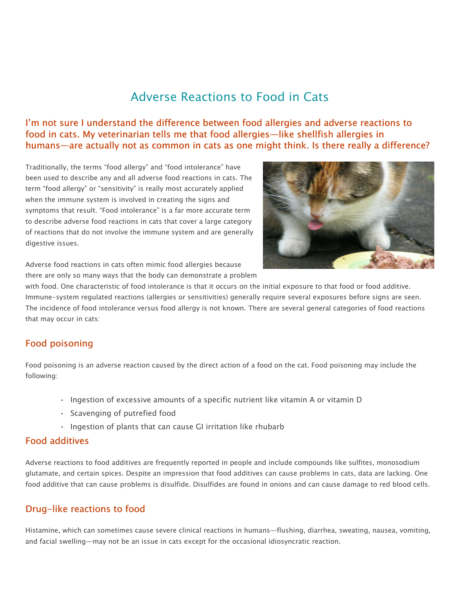# Adverse Reactions to Food in Cats

## I'm not sure I understand the difference between food allergies and adverse reactions to food in cats. My veterinarian tells me that food allergies—like shellfish allergies in humans—are actually not as common in cats as one might think. Is there really a difference?

Traditionally, the terms "food allergy" and "food intolerance" have been used to describe any and all adverse food reactions in cats. The term "food allergy" or "sensitivity" is really most accurately applied when the immune system is involved in creating the signs and symptoms that result. "Food intolerance" is a far more accurate term to describe adverse food reactions in cats that cover a large category of reactions that do not involve the immune system and are generally digestive issues.



Adverse food reactions in cats often mimic food allergies because there are only so many ways that the body can demonstrate a problem

with food. One characteristic of food intolerance is that it occurs on the initial exposure to that food or food additive. Immune-system regulated reactions (allergies or sensitivities) generally require several exposures before signs are seen. The incidence of food intolerance versus food allergy is not known. There are several general categories of food reactions that may occur in cats:

# Food poisoning

Food poisoning is an adverse reaction caused by the direct action of a food on the cat. Food poisoning may include the following:

- Ingestion of excessive amounts of a specific nutrient like vitamin A or vitamin D
- Scavenging of putrefied food
- Ingestion of plants that can cause GI irritation like rhubarb

#### Food additives

Adverse reactions to food additives are frequently reported in people and include compounds like sulfites, monosodium glutamate, and certain spices. Despite an impression that food additives can cause problems in cats, data are lacking. One food additive that can cause problems is disulfide. Disulfides are found in onions and can cause damage to red blood cells.

## Drug-like reactions to food

Histamine, which can sometimes cause severe clinical reactions in humans—flushing, diarrhea, sweating, nausea, vomiting, and facial swelling—may not be an issue in cats except for the occasional idiosyncratic reaction.